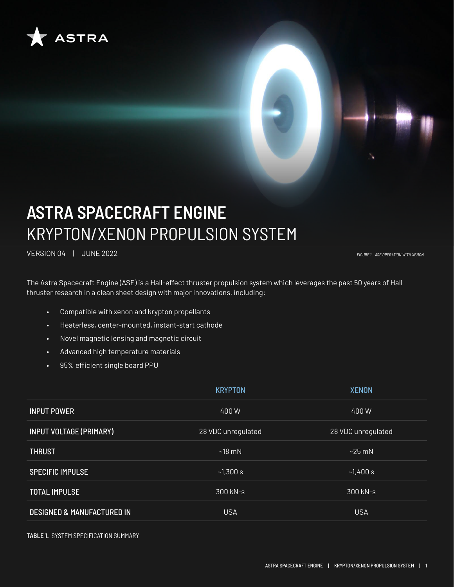

# **ASTRA SPACECRAFT ENGINE** KRYPTON/XENON PROPULSION SYSTEM

VERSION 04 | JUNE 2022 *FIGURE 1 . ASE OPERATION WITH XENON*

The Astra Spacecraft Engine (ASE) is a Hall-effect thruster propulsion system which leverages the past 50 years of Hall thruster research in a clean sheet design with major innovations, including:

- Compatible with xenon and krypton propellants
- Heaterless, center-mounted, instant-start cathode
- Novel magnetic lensing and magnetic circuit
- Advanced high temperature materials
- 95% efficient single board PPU

|                                       | <b>KRYPTON</b>     | <b>XENON</b>       |
|---------------------------------------|--------------------|--------------------|
| <b>INPUT POWER</b>                    | 400 W              | 400W               |
| <b>INPUT VOLTAGE (PRIMARY)</b>        | 28 VDC unregulated | 28 VDC unregulated |
| <b>THRUST</b>                         | ~18~mN             | $\sim$ 25 mN       |
| <b>SPECIFIC IMPULSE</b>               | ~1,300 s           | ~1,400 s           |
| <b>TOTAL IMPULSE</b>                  | 300 kN-s           | 300 kN-s           |
| <b>DESIGNED &amp; MANUFACTURED IN</b> | <b>USA</b>         | <b>USA</b>         |

**TABLE 1.** SYSTEM SPECIFICATION SUMMARY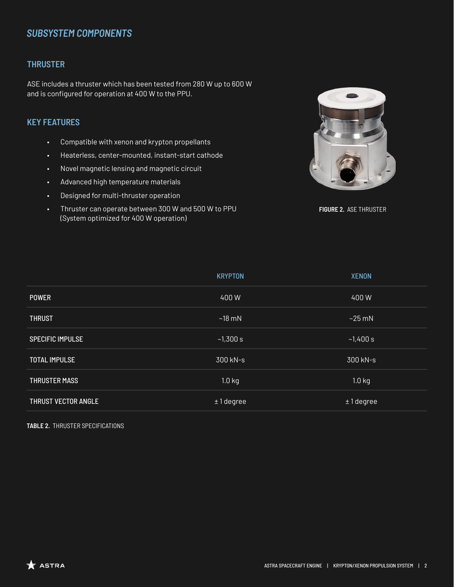# *SUBSYSTEM COMPONENTS*

## **THRUSTER**

ASE includes a thruster which has been tested from 280 W up to 600 W and is configured for operation at 400 W to the PPU.

## **KEY FEATURES**

- Compatible with xenon and krypton propellants
- Heaterless, center-mounted, instant-start cathode
- Novel magnetic lensing and magnetic circuit
- Advanced high temperature materials
- Designed for multi-thruster operation
- Thruster can operate between 300 W and 500 W to PPU (System optimized for 400 W operation)



**FIGURE 2.** ASE THRUSTER

|                         | <b>KRYPTON</b> | <b>XENON</b>      |
|-------------------------|----------------|-------------------|
| <b>POWER</b>            | 400W           | 400W              |
| <b>THRUST</b>           | $~18$ mN       | $~25$ mN          |
| <b>SPECIFIC IMPULSE</b> | ~1,300 s       | ~1,400 s          |
| <b>TOTAL IMPULSE</b>    | 300 kN-s       | 300 kN-s          |
| <b>THRUSTER MASS</b>    | $1.0$ kg       | 1.0 <sub>kg</sub> |
| THRUST VECTOR ANGLE     | $±1$ degree    | $±1$ degree       |

**TABLE 2.** THRUSTER SPECIFICATIONS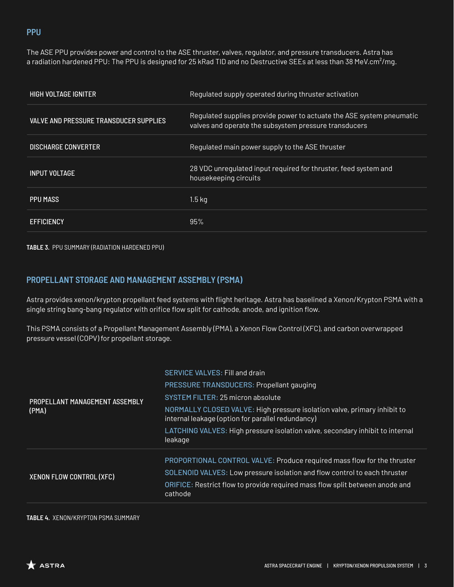### **PPU**

The ASE PPU provides power and control to the ASE thruster, valves, regulator, and pressure transducers. Astra has a radiation hardened PPU: The PPU is designed for 25 kRad TID and no Destructive SEEs at less than 38 MeV.cm<sup>2</sup>/mg.

| <b>HIGH VOLTAGE IGNITER</b>                   | Regulated supply operated during thruster activation                                                                          |
|-----------------------------------------------|-------------------------------------------------------------------------------------------------------------------------------|
| <b>VALVE AND PRESSURE TRANSDUCER SUPPLIES</b> | Regulated supplies provide power to actuate the ASE system pneumatic<br>valves and operate the subsystem pressure transducers |
| <b>DISCHARGE CONVERTER</b>                    | Regulated main power supply to the ASE thruster                                                                               |
| <b>INPUT VOLTAGE</b>                          | 28 VDC unregulated input required for thruster, feed system and<br>housekeeping circuits                                      |
| PPU MASS                                      | 1.5 <sub>kg</sub>                                                                                                             |
| <b>EFFICIENCY</b>                             | 95%                                                                                                                           |

**TABLE 3.** PPU SUMMARY (RADIATION HARDENED PPU)

## **PROPELLANT STORAGE AND MANAGEMENT ASSEMBLY (PSMA)**

Astra provides xenon/krypton propellant feed systems with flight heritage. Astra has baselined a Xenon/Krypton PSMA with a single string bang-bang regulator with orifice flow split for cathode, anode, and ignition flow.

This PSMA consists of a Propellant Management Assembly (PMA), a Xenon Flow Control (XFC), and carbon overwrapped pressure vessel (COPV) for propellant storage.

|                                 | <b>SERVICE VALVES: Fill and drain</b>                                                                                         |
|---------------------------------|-------------------------------------------------------------------------------------------------------------------------------|
| PROPELLANT MANAGEMENT ASSEMBLY  | PRESSURE TRANSDUCERS: Propellant gauging                                                                                      |
|                                 | SYSTEM FILTER: 25 micron absolute                                                                                             |
| (PMA)                           | NORMALLY CLOSED VALVE: High pressure isolation valve, primary inhibit to<br>internal leakage (option for parallel redundancy) |
|                                 | LATCHING VALVES: High pressure isolation valve, secondary inhibit to internal<br>leakage                                      |
|                                 | PROPORTIONAL CONTROL VALVE: Produce required mass flow for the thruster                                                       |
| <b>XENON FLOW CONTROL (XFC)</b> | SOLENOID VALVES: Low pressure isolation and flow control to each thruster                                                     |
|                                 | ORIFICE: Restrict flow to provide required mass flow split between anode and<br>cathode                                       |

#### **TABLE 4.** XENON/KRYPTON PSMA SUMMARY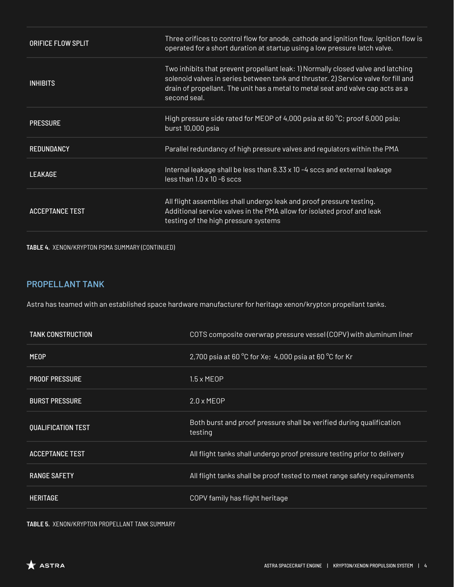| <b>ORIFICE FLOW SPLIT</b> | Three orifices to control flow for anode, cathode and ignition flow. Ignition flow is<br>operated for a short duration at startup using a low pressure latch valve.                                                                                                       |
|---------------------------|---------------------------------------------------------------------------------------------------------------------------------------------------------------------------------------------------------------------------------------------------------------------------|
| <b>INHIBITS</b>           | Two inhibits that prevent propellant leak: 1) Normally closed valve and latching<br>solenoid valves in series between tank and thruster. 2) Service valve for fill and<br>drain of propellant. The unit has a metal to metal seat and valve cap acts as a<br>second seal. |
| <b>PRESSURE</b>           | High pressure side rated for MEOP of 4,000 psia at 60 °C; proof 6,000 psia;<br>burst 10,000 psia                                                                                                                                                                          |
| <b>REDUNDANCY</b>         | Parallel redundancy of high pressure valves and regulators within the PMA                                                                                                                                                                                                 |
| <b>LEAKAGE</b>            | Internal leakage shall be less than 8.33 x 10 -4 sccs and external leakage<br>$less than 1.0 \times 10 - 6$ sccs                                                                                                                                                          |
| <b>ACCEPTANCE TEST</b>    | All flight assemblies shall undergo leak and proof pressure testing.<br>Additional service valves in the PMA allow for isolated proof and leak<br>testing of the high pressure systems                                                                                    |

**TABLE 4.** XENON/KRYPTON PSMA SUMMARY (CONTINUED)

## **PROPELLANT TANK**

Astra has teamed with an established space hardware manufacturer for heritage xenon/krypton propellant tanks.

| <b>TANK CONSTRUCTION</b>  | COTS composite overwrap pressure vessel (COPV) with aluminum liner              |
|---------------------------|---------------------------------------------------------------------------------|
| <b>MEOP</b>               | 2,700 psia at 60 °C for Xe; 4,000 psia at 60 °C for Kr                          |
| <b>PROOF PRESSURE</b>     | $1.5 \times MEOP$                                                               |
| <b>BURST PRESSURE</b>     | $2.0 \times MEOP$                                                               |
| <b>QUALIFICATION TEST</b> | Both burst and proof pressure shall be verified during qualification<br>testing |
| <b>ACCEPTANCE TEST</b>    | All flight tanks shall undergo proof pressure testing prior to delivery         |
| <b>RANGE SAFETY</b>       | All flight tanks shall be proof tested to meet range safety requirements        |
| <b>HERITAGE</b>           | COPV family has flight heritage                                                 |

**TABLE 5.** XENON/KRYPTON PROPELLANT TANK SUMMARY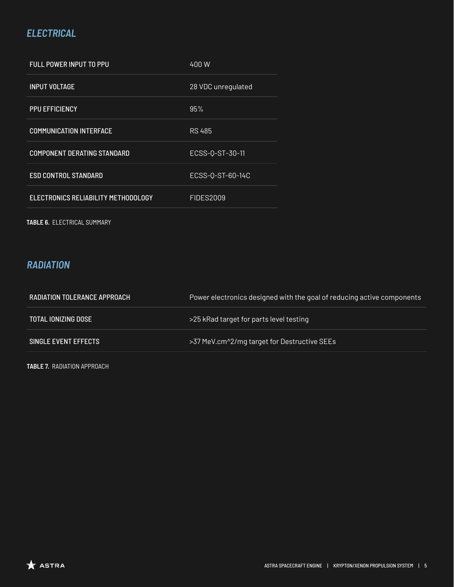# *ELECTRICAL*

| <b>FULL POWER INPUT TO PPU</b>      | 400W               |
|-------------------------------------|--------------------|
| <b>INPUT VOLTAGE</b>                | 28 VDC unregulated |
| <b>PPU EFFICIENCY</b>               | 95%                |
| <b>COMMUNICATION INTERFACE</b>      | <b>RS 485</b>      |
| <b>COMPONENT DERATING STANDARD</b>  | ECSS-0-ST-30-11    |
| <b>ESD CONTROL STANDARD</b>         | ECSS-0-ST-60-14C   |
| ELECTRONICS RELIABILITY METHODOLOGY | <b>FIDES2009</b>   |
|                                     |                    |

**TABLE 6.** ELECTRICAL SUMMARY

# *RADIATION*

| RADIATION TOLERANCE APPROACH | Power electronics designed with the goal of reducing active components |
|------------------------------|------------------------------------------------------------------------|
| <b>TOTAL IONIZING DOSE</b>   | >25 kRad target for parts level testing                                |
| SINGLE EVENT EFFECTS         | >37 MeV.cm^2/mg target for Destructive SEEs                            |

**TABLE 7.** RADIATION APPROACH